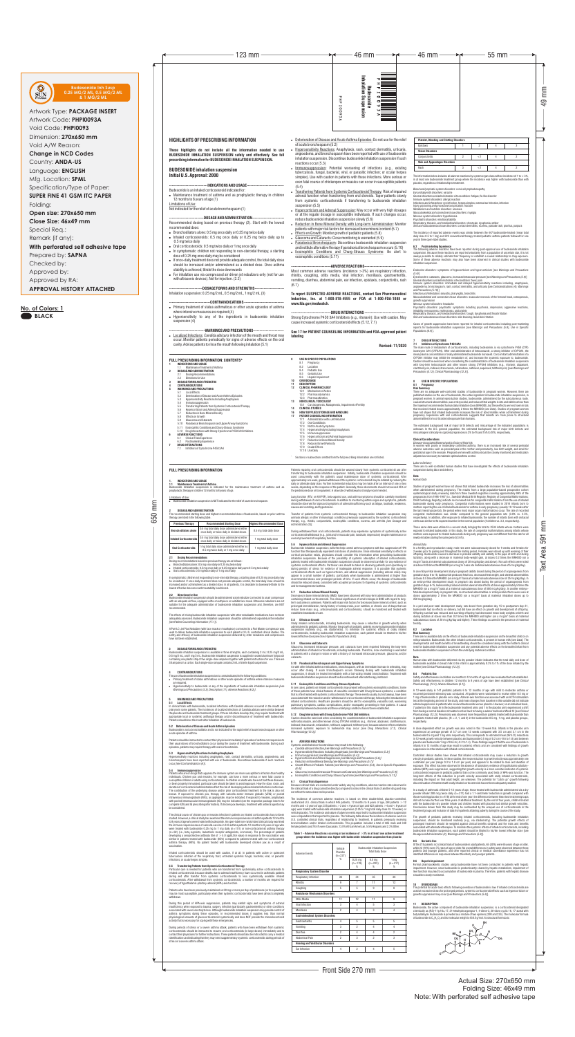# 650 mm

Front Side 270 mm

Actual Size: 270x650 mm Folding Size: 46x49 mm Note: With perforated self adhesive tape

Text Area 591 mm

# **FULL PRESCRIBING INFORMATION**

Limitations of Use: **EXAMPLE 2018 INCREDIT SUBDETERVIER IN** Budesonide inhalation suspension is NOT indicated for the relief of acute bronchospasm.

**1. INDICATIONS AND USAGE** 

**1.1 Maintenance Treatment of Asthma**  Budesonide inhalation suspension is indicated for the maintenance treatment of asthma and as prophylactic therapy in children 12 months to 8 years of age.

• Bronchodilators alone: 0.5 mg once daily or 0.25 mg twice daily ! Inhaled corticosteroids: 0.5 mg once daily or 0.25 mg twice daily up to 0.5 mg twice daily

**2 DOSAGE AND ADMINISTRATION** 

The recommended starting dose and highest recommended dose of budesonide, based on prior asthma therapy, are listed in the following table.

## **2.1 Dosing Recommendations**

Dosing recommendations based on previous therapy are as follows:

Budes inhalation suspension should be administered via jet nebulizer connected to an air compressor with an adequate air flow, equipped with a mouthpiece or suitable face mask. Ultrasonic nebulizers are not suitable for the adequate administration of budesonide inhalation suspension and, therefore, are NOT recommended.

! Oral corticosteroids: 0.5 mg twice daily or 1 mg once daily

In symptomatic children not responding to non-steroidal therapy, a starting dose of 0.25 mg once daily may be considered. If once-daily treatment does not provide adequate control, the total daily dose should be increased and/or administered as a divided dose. In all patients, it is desirable to downward-titrate to the lowest effective dose once asthma stability is achieved.

Budesonide inhalation suspension is available in three strengths, each containing 2 mL: 0.25 mg/2 mL,<br>0.5 mg/2 mL, and 1 mg/2 mL. Budesonide inhalation suspension is supplied in sealed aluminum foil pouch<br>containing one pl 30 ampules in a carton. Each single-dose ampule contains 2 mL of sterile liquid suspension.

## **2.2 Directions for Use**

In clinical trials with budesonide, localized infections with *Candida albicans* occurred in the mouth and<br>pharynx in some patients. The incidences of localized infections of *Candida albicans* were similar between the placebo and budesonide treatment groups. If these infections develop, they may require treatment with appropriate local or systemic antifungal therapy and/or discontinuance of treatment with budesonide. Patients should rinse the mouth after inhalation of budesonide.

The effects of mixing budesonide inhalation suspension with other nebulizable medications have not been lequately assessed. Budesonide inhalation suspension should be administered separately in the nebulizer *[see Patient Counseling Information (17.1)].*

**5.2 Deterioration of Disease and Acute Asthma Episodes**<br>Budesonide is not a bronchodilator and is not indicated for the rapid relief of acute bronchospasm or other acute episodes of asthma.

A Pari-LC-Jet Plus Nebulizer (with face mask or mouthpiece) connected to a Pari Master compressor was used to deliver budesonide inhalation suspension to each patient in 3 U.S. controlled clinical studies. The safety and efficacy of budesonide inhalation suspension delivered by other nebulizers and compressors have not been established.

**5.3 Hypersensitivity Reactions Including Anaphylaxis<br>Hypersensitivity reactions including anaphylaxis, rash, contact dermatitis, urticaria, angioedema, and** bronchospasm have been reported with use of budesonide. Discontinue budesonide if such reactions occur *[see Contraindications (4)].*

## **3 DOSAGE FORMS AND STRENGTHS**

## **4 CONTRAINDICATIONS**

- The use of budesonide inhalation suspension is contraindicated in the following conditions: ! Primary treatment of status asthmaticus or other acute episodes of asthma where intensive measures
- are required.
	- ! Hypersensitivity to budesonide or any of the ingredients of budesonide inhalation suspension *[see Warnings and Precautions (5.3), Description (11), Adverse Reactions (6.2)].*

# **5 WARNINGS AND PRECAUTIONS**

## **5.1 Local Effects**

corticosteroids. After withdrawal from systemic corticosteroids, a number of months are required for recovery of hypothalamic-pituitary-adrenal (HPA)-axis function.

During this period of HPA-axis suppression, patients may exhibit signs and symptoms of adrenal<br>insufficiency when exposed to trauma, surgery, infection (particularly gastroenteritis) or other conditions<br>associated with sev asthma symptoms during these episodes, in recommended doses it supplies less than normal physiological amounts of glucocorticosteroid systemically and does NOT provide the mineralocorticoid activity that is necessary for coping with these emergencies.

Patients should be instructed to contact their physician immediately if episodes of asthma not responsive to their usual doses of bronchodilators occur during the course of treatment with budesonide. During such episodes, patients may require therapy with oral corticosteroids.

During periods of stress or a severe asthma attack, patients who have been withdrawn from syster corticosteroids should be instructed to resume oral corticosteroids (in large doses) immediately and to contact their physicians for further instructions. These patients should also be instructed to carry a medical identification card indicating that they may need supplementary systemic corticosteroids during periods of stress or a severe asthma attack.

## **5.4 Immunosuppression**

Lung function (FEV, or AM PEF), beta-agonist use, and asthma symptoms should be carefully monitored<br>during withdrawal of oral corticosteroids. In addition to monitoring asthma signs and symptoms, patients should be observed for signs and symptoms of adrenal insufficiency such as fatigue, lassitude, weakness, nausea and vomiting, and hypotension.

During withdrawal from oral corticosteroids, patients may experience symptoms of systemically active corticosteroid withdrawal (e.g., joint and/or muscular pain, lassitude, depression) despite maintenance or even improvement of respiratory function

Patients who are on drugs that suppress the immune system are more susceptible to infection than healthy individuals. Chicken pox and measles, for example, can have a more serious or even fatal course in susceptible children or adults using corticosteroids. In children or adults who have not had these diseases, or been properly immunized, particular care should be taken to avoid exposure. How the dose, route, and duration of corticosteroid administration affect the risk of developing a disseminated infection is not known. The contribution of the underlying disease and/or prior corticosteroid treatment to the risk is also not<br>known. If exposed to chicken pox, therapy with varicella zoster immune globulin (VZIG) or pooled<br>intravenous immunogl with pooled intramuscular immunoglobulin (IG) may be indicated (see the respective package inserts for complete VZIG and IG prescribing information). If chicken pox develops, treatment with antiviral agents may be considered.

Budesonide inhalation suspension, will often help control asthma symptoms with less suppression of HPA<br>function than therapeutically equivalent oral doses of prednisone. Since individual sensitivity to effects on<br>cortisol inhalation suspension. Because of the possibility of systemic absorption of inhaled corticosteroids, patients treated with budesonide inhalation suspension should be observed carefully for any evidence of systemic corticosteroid effects. Particular care should be taken in observing patients post-operatively or during periods of stress for evidence of inadequate adrenal response. It is possible that systemic corticosteroid effects such as hypercorticism, and adrenal suppression (including adrenal crisis) may appear in a small number of patients, particularly when budesonide is administered at higher than recommended doses over prolonged periods of time. If such effects occur, the dosage of budesonide should be reduced slowly, consistent with accepted procedures for tapering of systemic corticosteroids and for management of asthma.

The clinical course of chicken pox or measles infection in patients on inhaled corticosteroids has not been studied. However, a clinical study has examined the immune responsiveness of asthma patients 12 months to 8 years of age who were treated with budesonide. An open-label non-randomized clinical study examined the immune responsiveness of varicella vaccine in 243 asthma patients 12 months to 8 years of age who were treated with budesonide 0.25 mg to 1 mg daily (n=151) or non-corticosteroid asthma therapy (n=92) (i.e., beta<sub>z</sub>-agonists, leukotriene receptor antagonists, cromones). The percentage of patients<br>developing a seroprotective antibody titer of ≥5.0 (gpELISA value) in response to the vaccination was similar in patients treated with budesonide (85%) compared to patients treated with non-corticosteroid asthma therapy (90%). No patient treated with budesonide developed chicken pox as a result of vaccination.

Inhaled corticosteroids should be used with caution, if at all, in patients with active or quiescent tuberculosis infection of the respiratory tract, untreated systemic fungal, bacterial, viral, or parasitic infections; or ocular herpes simplex.

## **5.5 Transferring Patients from Systemic Corticosteroid Therapy**

Particular care is needed for patients who are transferred from systemically active corticosteroids to inhaled corticosteroids because deaths due to adrenal insufficiency have occurred in asthmatic patients during and after transfer from systemic corticosteroids to less systemically available inhaled

Caution should be exercised when considering the coadministration of budesonide inhalation suspension with ketoconazole, and other known strong CYP3A4 inhibitors (e.g., ritonavir, atazanavir, clarithromycin, indinavir, itraconazole, nefazodone, nelfinavir, saquinavir, telithromycin) because adverse effects related to<br>increased systemic exposure to budesonide may occur *[see Drug Interactions (7.1), Clinical*<br>*Pharma* 

Patients who have been previously maintained on 20 mg or more per day of prednisone (or its equivalent) may be most susceptible, particularly when their systemic corticosteroids have been almost completely withdrawn.

Patients requiring oral corticosteroids should be weaned slowly from systemic corticosteroid use after transferring to budesonide inhalation suspension. Initially, budesonide inhalation suspension should be used concurrently with the patient's usual maintenance dose of systemic corticosteroid. After approximately one week, gradual withdrawal of the systemic corticosteroid may be initiated by reducing the daily or alternate daily dose. Further incremental reductions may be made after an interval of one or two weeks, depending on the response of the patient. Generally, these decrements should not exceed 25% of the prednisone dose or its equivalent. A slow rate of withdrawal is strongly recommended.

Transfer of patients from systemic corticosteroid therapy to budesonide inhalation suspension may unmask allergic or other immunologic conditions previously suppressed by the systemic corticosteroid therapy, e.g., rhinitis, conjunctivitis, eosinophilic conditions, eczema, and arthritis *[see Dosage and Administration (2)].*

## **5.6 Hypercorticism and Adrenal Suppression**

The estimated background risk of major birth defects and miscarriage of the indicated populations is unknown. In the U.S. general population, the estimated background risk of major birth defects and miscarriage in clinically recognized pregnancies is 2% to 4% and 15% to 20%, respectiv

**5.7 Reduction in Bone Mineral Density**  Decreases in bone mineral density (BMD) have been observed with long-term administration of products containing inhaled corticosteroids. The clinical significance of small changes in BMD with regard to long-term outcomes is unknown. Patients with major risk factors for decreased bone mineral content, such as prolonged immobilization, family history of osteoporosis, poor nutrition, or chronic use of drugs that can reduce bone mass (e.g., anticonvulsants and corticosteroids), should be monitored and treated with established standards of care.

**5.8 Effects on Growth**<br>Orally inhaled corticosteroids, including budesonide, may cause a reduction in growth velocity when<br>administered to pediatric patients. Monitor the growth of pediatric patients receiving budeso suspension routinely (e.g., via stadiometry). To minimize the systemic effects of orally inhaled<br>corticosteroids, including budesonide inhalation suspension, each patient should be titrated to his/her<br>lowesteffectivedose/s

# *Animal Data* In a fertility and reproduction study, male rats were subcutaneously dosed for 9 weeks and females for 2 weeks prior to pairing and throughout the mating period. Females were dosed up until weaning of their offspring. Budesonide caused a decrease in prenatal viability and viability in the pups at birth and during lactation, along with a decrease in maternal body-weight gain, at doses 0.2 times the MRHDID (on a<br>mcg/m² basis at maternal subcutaneous doses of 20 mcg/kg/day and above). No such effects were noted at a dose 0.05 times the MRHDID (on a mcg/m<sup>2</sup> basis at a maternal subcutaneous dose of 5 mcg/kg/day).

## **5.9 Glaucoma and Cataracts**

Glaucoma, increased intraocular pressure, and cataracts have been reported following the long-term administration of inhaled corticosteroids, including budesonide. Therefore, close monitoring is warranted in patients with a change in vision or with a history of increased intraocular pressure, glaucoma, and/or cataracts.

**5.10 Paradoxical Bronchospasm and Upper Airway Symptoms** As with other inhaled asthma medications, bronchospasm, with an immediate increase in wheezing, may occur after dosing. If acute bronchospasm occurs following dosing with budesonide inhalation suspension, it should be treated immediately with a fast-acting inhaled bronchodilator. Treatment with budesonide inhalation suspension should be discontinued and alternate therapy instituted.

## **5.11 Eosinophilic Conditions and Churg-Strauss Syndrome**

**8.4 Pediatric Use**<br>Safety and effectiveness in children six months to 12 months of age has been evaluated but not established.<br>Safety and effectiveness in children 12 months to 8 years of age have been established [see *C Pharmacology (12.2), Adverse Reactions (6.1)*].

A 12-week study in 141 pediatric patients 6 to 12 months of age with mild to moderate asthma or recurrent/persistent wheezing was conducted. All patients were randomized to receive either 0.5 mg or<br>1 mg of budesonide or placebo once daily. Adrenal-axis function was assessed with an ACTH stimulation<br>test at the beginn adrenal suppression in patients who received budesonide versus placebo. However, on an individual basis, 7 patients in this study (6 in the budesonide treatment arms and 1 in the placebo arm) experienced a shift from having a normal baseline stimulated cortisol level to having a subnormal level at Week 12 [see *Clinical Pharmacology (12.2)]*. Pneumonia was observed more frequently in patients treated with budesonide than<br>in patients treated with placebo, (N = 2, 1, and 0) in the budesonide 0.5 mg, 1 mg, and placebo groups, respectively

In rare cases, patients on inhaled corticosteroids may present with systemic eosinophilic conditions. Some of these patients have clinical features of vasculitis consistent with Churg-Strauss syndrome, a condition that is often treated with systemic corticosteroids therapy. These events usually, but not always, have been<br>associated with the reduction and/or withdrawal of oral corticosteroid therapy following the introduction of<br>inha pulmonary symptoms, cardiac complications, and/or neuropathy presenting in their patients. A causal relationship between budesonide and these underlying conditions has not been established.

## **5.12 Drug Interactions with Strong Cytochrome P450 3A4 Inhibitors**

Controlled clinical studies have shown that inhaled corticosteroids may cause a reduction in growth velocity in pediatric patients. In these studies, the mean reduction in growth velocity was approximately one centimeter per year (range 0.3 to 1.8 cm per year) and appears to be related to dose and duration of exposure. This effect has been observed in the absence of laboratory evidence of hypothalamic-pituitaryadrenal (HPA)-axis suppression, suggesting that growth velocity is a more sensitive indicator of systemic corticosteroid exposure in pediatric patients than some commonly used tests of HPA-axis function. The long-term effects of this reduction in growth velocity associated with orally inhaled corticosteroids,<br>including the impact on final adult height, are unknown. The potential for "catch up" growth following<br>discontinuationo

## **6 ADVERSE REACTIONS**

- Systemic and inhaled corticosteroid use may result in the following:
- ! *Candida albicans* Infection *[see Warnings and Precautions (5.1)]* ! Hypersensitivity Reactions Including Anaphylaxis *[s*ee *Warnings and Precautions (5.3)]*
- ! Immunosuppression *[see Warnings and Precautions (5.4)]*
- 
- Hypercorticism and Adrenal Suppression /see Warnings and Precautions (5.6)]<br>- Reduction in Bone Mineral Density /see Warnings and Precautions (5.7)]<br>- Growth Effects in Pediatric Patients /see Warnings and Precautions (5
- *(8.4)]*
- .,<br>Icoma, Increased Intraocular Pressure and Cataracts *[see Warnings and Precautions (5.9*)] ! Eosinophilic Conditions and Churg-Strauss Syndrome *[see Warnings and Precautions (5.11)]*

## **6.1 Clinical Trials Experience**

Because clinical trials are conducted under widely varying conditions, adverse reaction rates observed in the clinical trials of a drug cannot be directly compared to rates in the clinical trials of another drug and may not reflect the rates observed in practice.

> Budesonide, the active component of budesonide inhalation suspension, is a corticosteroid designated chemically as (RS)-11β,16α,17, 21-tetrahydroxypregna-1, 4-diene-3, 20-dione cyclic 16, 17-acetal with<br>butyraldehyde. Budesonide is provided as a mixture of two epimers (22R and 22S). The molecular formula<br>of budesonide is

The incidence of common adverse reactions is based on three double-blind, placebo-controlled, randomized U.S. clinical trials in which 945 patients, 12 months to 8 years of age, (98 patients  $\geq 12$ months and <2 years of age; 225 patients ≥2 and <4 years of age; and 622 patients ≥4 and ≤8 years of age) were treated with budesonide inhalation suspension (0.25 to 1 mg total daily dose for 12 weeks) or vehicle placebo. The incidence and nature of adverse events reported for budesonide inhalation suspension<br>was comparable to that reported for placebo. The following table shows the incidence of adverse events in<br>U.S. contr bronchodilators and/or inhaled corticosteroids. This population included a total of 605 male and 340 female patients and 78.4% were Caucasian, 13.8% African American, 5.5% Hispanic and 2.3% Other.

# **Table 1 – Adverse Reactions occurring at an incidence of** ≥**3% in at least one active treatment group where the incidence was higher with budesonide inhalation suspension than placebo**



## **Clinical Considerations** *Disease-Associated Maternal and/or Embryo/Fetal risk*

In women with poorly or moderately controlled asthma, there is an increased risk of several perinatal adverse outcomes such as preeclampsia in the mother and prematurity, low birth weight, and small for gestational age in the neonate. Pregnant women with asthma should be closely monitored and medication adjusted as necessary to maintain optimal asthma control.

## *Labor or Delivery*

There are no well-controlled human studies that have investigated the effects of budesonide inhalation suspension during labor and delivery.

## **Data** *Human Data*

Studies of pregnant women have not shown that inhaled budesonide increases the risk of abnormalities when administered during pregnancy. The results from a large population-based prospective cohort epidemiological study reviewing data from three Swedish registries covering approximately 99% of the pregnancies from 1995-1997 (i.e., Swedish Medical Birth Registry; Registry of Congenital Malformations; Child Cardiology Registry) indicate no increased risk for congenital malformations from the use of inhaled budesonide during early pregnancy. Congenital malformations were studied in 2014 infants born to mothers reporting the use of inhaled budesonide for asthma in early pregnancy (usually 10-12 weeks after the last menstrual period), the period when most major organ malformations occur. The rate of recorded congenital malformations was similar compared to the general population rate (3.8% vs. 3.5%, respectively). In addition, after exposure to inhaled budesonide, the number of infants born with orofacial clefts was similar to the expected number in the normal population (4 children vs. 3.3, respectively).

These same data were utilized in a second study bringing the total to 2534 infants whose mothers were exposed to inhaled budesonide. In this study, the rate of congenital malformations among infants whose mothers were exposed to inhaled budesonide during early pregnancy was not different from the rate for all newborn babies during the same period (3.6%).

In an embryo-fetal development study in pregnant rabbits dosed during the period of organogenesis from gestation days 6 to 18, budesonide produced fetal loss, decreased fetal weight, and skeletal abnormalities at doses 0.5 times the MRHDID (on a mcg/m<sup>2</sup> basis at a maternal subcutaneous dose of 25 mcg/kg/day). In an embryo-fetal development study in pregnant rats dosed during the period of organogenesis from gestation days 6-15, budesonide produced similar adverse fetal effects at doses approximately 5 times the MRHDID (on a mcg/m<sup>s</sup> basis at a maternal subcutaneous dose of 500 mcg/kg/day). In another embryo-<br>fetal development study in pregnant rats, no structural abnormalities or embryocidal effects were seen at<br>doses approximat 250 mcg/kg/day).

In a peri-and post-natal development study, rats dosed from gestation day 15 to postpartum day 21, budesonide had no effects on delivery, but did have an effect on growth and development of offs Offspring survival was reduced and surviving offspring had decreased mean body weights at birth and<br>during lactation at doses less than 0.2 times the MRHDID and higher (on a mcg/m² basis at maternal subcutaneous doses of 20 mcg/kg/day and higher). These findings occurred in the presence of maternal toxicity.

## **8.2 Lactation Risk Summary**

There are no available data on the effects of budesonide inhalation suspension on the breastfed child or on milk production. Budesonide, like other inhaled corticosteroids, is present in human milk *[see Data].* The<br>developmental and health benefits of breastfeeding should be considered along with the mother's clinical<br>need for budesonide inhalation suspension or from the underlying maternal condition.

## **Data**

Human data with budesonide delivered via dry powder inhaler indicates that the total daily oral dose of budesonide available in breast milk to the infant is approximately 0.3% to 1% of the dose inhaled by the mother *[see Clinical Pharmacology (12.3)]*.

A dose dependent effect on growth was also noted in this 12-week trial. Infants in the placebo arm experienced an average growth of 3.7 cm over 12 weeks compared with 3.5 cm and 3.1 cm in the budesonide 0.5 mg and 1 mg arms respectively. This corresponds to estimated mean (95% CI) reductions in 12-week growth velocity between placebo and budesonide 0.5 mg of 0.2 cm (-0.6 to 1.0) and between placebo and budesonide 1 mg of 0.6 cm (-0.2 to 1.4). These findings support that the use of budesonide in infants 6 to 12 months of age may result in systemic effects and are consistent with findings of growth suppression in other studies with inhaled corticosteroids.

In a study of asthmatic children 5-12 years of age, those treated with budesonide administered via a dry powder inhaler 200 mcg twice daily (n=311) had a 1.1-centimeter reduction in growth compared with those receiving placebo  $(n=418)$  at the end of one year; the difference between these two treatment groups did not increase further over three years of additional treatment. By the end of four years, children treated with the budesonide dry powder inhaler and children treated with placebo had similar growth velocities. Conclusions drawn from this study may be confounded by the unequal use of corticosteroids in the treatment groups and inclusion of data from patients attaining puberty during the course of the study.

The growth of pediatric patients receiving inhaled corticosteroids, including budesonide inhalation suspension, should be monitored routinely (e.g., via stadiometry). The potential growth effects of<br>prolonged treatment should be weighed against clinical benefits obtained and the risks and benefits<br>associated.with.alterna budesonide inhalation suspension, each patient should be titrated to his/her lowest effective dose [see *Dosage and Administration (2), Warnings and Precautions (5.8)*].

## **8.5 Geriatric Use**

Of the 215 patients in 3 clinical trials of budesonide in adult patients, 65 (30%) were 65 years of age or older, while 22 (10%) were 75 years of age or older. No overall differences in safety were observed between these patients and younger patients, and other reported clinical or medical surveillance experience has not identified differences in responses between the elderly and younger patients.

## **8.6 Hepatic Impairment**

Formal pharmacokinetic studies using budesonide have not been conducted in patients with hepatic impairment. However, since budesonide is predominantly cleared by hepatic metabolism, impairment of liver function may lead to accumulation of budesonide in plasma. Therefore, patients with hepatic disease should be closely monitored.

**10 OVERDOSAGE** 

The potential for acute toxic effects following overdose of budesonide is low. If inhaled corticosteroids are used at excessive doses for prolonged periods, systemic corticosteroid effects such as hypercorticism or growth suppression may occur [see *Warnings and Precautions (5.6)*].

## **11 DESCRIPTION**

5.12 Drug Interactions with Strong Cytochrome P450 3A4 Inhibitors

**6 ADVERSE REACTIONS** 

6.1 Clinical Trials Experience 6.2 Postmarketing Experience **7 DRUG INTERACTIONS** 

7.1 Inhibitors of Cytochrome P450 3A4

17.4 Hypersensitivity Including Anaphylaxis

17.5 Immunosuppression

17.6 Hypercorticism and Adrenal Suppression

17.7 Reduction in Bone Mineral Density 17.8 Reduced Growth Velocity 17.9 Ocular Effects 17.10 Use Daily

\* Sections or subsections omitted from the full prescribing information are not listed**.**



| <b>Previous Therapy</b>        | <b>Recommended Starting Dose</b>                                                          | <b>Highest Recommended Dose</b> |  |
|--------------------------------|-------------------------------------------------------------------------------------------|---------------------------------|--|
| <b>Bronchodilators alone</b>   | 0.5 mg total daily dose administered either<br>once daily or twice daily in divided doses | 0.5 mg total daily dose         |  |
| <b>Inhaled Corticosteroids</b> | 0.5 mg total daily dose administered either<br>once daily or twice daily in divided doses | 1 mg total daily dose           |  |
| <b>Oral Corticosteroids</b>    | 1 mg total daily dose administered either as<br>0.5 mg twice daily or 1 mg once daily     | 1 mg total daily dose           |  |

| <b>Adverse Events</b>                    | Vehicle<br>Placebo<br>$(n=227)$<br>% | <b>Budesonide Inhalation Suspension</b><br><b>Total Daily Dose</b> |                                     |                        |
|------------------------------------------|--------------------------------------|--------------------------------------------------------------------|-------------------------------------|------------------------|
|                                          |                                      | $0.25$ mg<br>$(n=178)$<br>%                                        | 0.5 <sub>mg</sub><br>$(n=223)$<br>% | 1 mg<br>$(n=317)$<br>% |
| <b>Respiratory System Disorder</b>       |                                      |                                                                    |                                     |                        |
| Respiratory Infection                    | 36                                   | 34                                                                 | 35                                  | 38                     |
| <b>Rhinitis</b>                          | 9                                    | 7                                                                  | 11                                  | 12                     |
| Coughing                                 | 5                                    | 5                                                                  | 9                                   | 8                      |
| <b>Resistance Mechanism Disorders</b>    |                                      |                                                                    |                                     |                        |
| Otitis Media                             | 11                                   | 12                                                                 | 11                                  | 9                      |
| Viral Infection                          | 3                                    | 4                                                                  | 5                                   | 3                      |
| Moniliasis                               | $\overline{2}$                       | 4                                                                  | 3                                   | 4                      |
| <b>Gastrointestinal System Disorders</b> |                                      |                                                                    |                                     |                        |
| Gastroenteritis                          | 4                                    | 5                                                                  | 5                                   | 5                      |
| Vomiting                                 | 3                                    | $\overline{2}$                                                     | 4                                   | 4                      |
| Diarrhea                                 | $\overline{2}$                       | 4                                                                  | 4                                   | $\overline{2}$         |
| Abdominal Pain                           | $\overline{2}$                       | 3                                                                  | $\overline{2}$                      | 3                      |
| <b>Hearing and Vestibular Disorders</b>  |                                      |                                                                    |                                     |                        |
| Ear Infection                            | 4                                    | $\overline{2}$                                                     | 4                                   | 5                      |